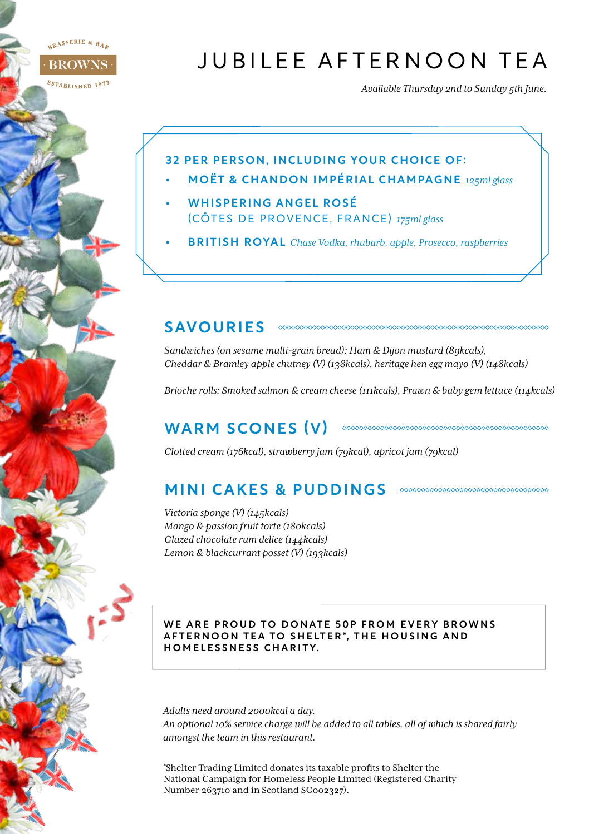RASSERIE & BAR

**BROWNS** 

#### ESTABLISHED 1973

# JUBILEE AFTERNOON TEA

*Available Thursday 2nd to Sunday 5th June.*

uuuuuuuuuuuuuuuuuuuuu

#### 32 PER PERSON, INCLUDING YOUR CHOICE OF:

- MOËT & CHANDON IMPÉRIAL CHAMPAGNE *125ml glass*
- WHISPERING ANGEL ROSÉ (CÔTES DE PROVENCE, FRANCE) *175ml glass*
- BRITISH ROYAL *Chase Vodka, rhubarb, apple, Prosecco, raspberries*

### SAVOURIES

*Sandwiches (on sesame multi-grain bread): Ham & Dijon mustard (89kcals), Cheddar & Bramley apple chutney (V) (138kcals), heritage hen egg mayo (V) (148kcals)*

*Brioche rolls: Smoked salmon & cream cheese (111kcals), Prawn & baby gem lettuce (114kcals)*

## WARM SCONES (V)

*Clotted cream (176kcal), strawberry jam (79kcal), apricot jam (79kcal)*

## MINI CAKES & PUDDINGS **CONSUMING COMMANDER**

*Victoria sponge (V) (145kcals) Mango & passion fruit torte (180kcals) Glazed chocolate rum delice (144kcals) Lemon & blackcurrant posset (V) (193kcals)*

#### WE ARE PROUD TO DONATE 50P FROM EVERY BROWNS AFTERNOON TEA TO SHELTER\*, THE HOUSING AND HOMELESSNESS CHARITY.

*Adults need around 2000kcal a day. An optional 10% service charge will be added to all tables, all of which is shared fairly amongst the team in this restaurant.*

\* Shelter Trading Limited donates its taxable profits to Shelter the National Campaign for Homeless People Limited (Registered Charity Number 263710 and in Scotland SC002327).